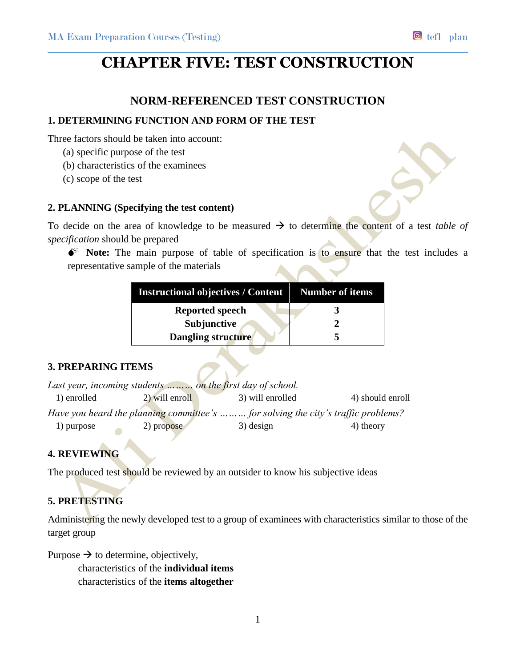# **CHAPTER FIVE: TEST CONSTRUCTION**

# **NORM-REFERENCED TEST CONSTRUCTION**

## **1. DETERMINING FUNCTION AND FORM OF THE TEST**

Three factors should be taken into account:

- (a) specific purpose of the test
- (b) characteristics of the examinees
- (c) scope of the test

### **2. PLANNING (Specifying the test content)**

To decide on the area of knowledge to be measured  $\rightarrow$  to determine the content of a test *table of specification* should be prepared

**Note:** The main purpose of table of specification is to ensure that the test includes a representative sample of the materials

| <b>Instructional objectives / Content</b> | Number of items |
|-------------------------------------------|-----------------|
| <b>Reported speech</b>                    |                 |
| Subjunctive                               |                 |
| <b>Dangling structure</b>                 |                 |

## **3. PREPARING ITEMS**

|             |                | Last year, incoming students  on the first day of school.                          |                  |
|-------------|----------------|------------------------------------------------------------------------------------|------------------|
| 1) enrolled | 2) will enroll | 3) will enrolled                                                                   | 4) should enroll |
|             |                | Have you heard the planning committee's   for solving the city's traffic problems? |                  |
| 1) purpose  | 2) propose     | 3) design                                                                          | 4) theory        |

# **4. REVIEWING**

The produced test should be reviewed by an outsider to know his subjective ideas

# **5. PRETESTING**

Administering the newly developed test to a group of examinees with characteristics similar to those of the target group

Purpose  $\rightarrow$  to determine, objectively,

characteristics of the **individual items** characteristics of the **items altogether**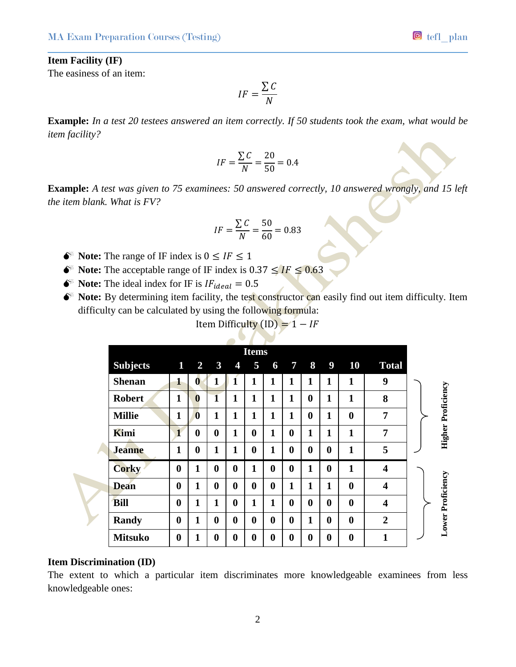# **Item Facility (IF)**

The easiness of an item:

$$
IF = \frac{\sum C}{N}
$$

**Example:** *In a test 20 testees answered an item correctly. If 50 students took the exam, what would be item facility?*

$$
IF = \frac{\sum C}{N} = \frac{20}{50} = 0.4
$$

**Example:** *A test was given to 75 examinees: 50 answered correctly, 10 answered wrongly, and 15 left the item blank. What is FV?*

$$
IF = \frac{\sum C}{N} = \frac{50}{60} = 0.83
$$

- $\bullet^*$  Note: The range of IF index is  $0 \leq IF \leq 1$
- $\bullet^*$  Note: The acceptable range of IF index is  $0.37 \leq IF \leq 0.63$
- $\bullet^*$  **Note:** The ideal index for IF is  $IF_{ideal} = 0.5$

 $\bullet^*$  Note: By determining item facility, the test constructor can easily find out item difficulty. Item difficulty can be calculated by using the following formula:

Item Difficulty (ID) = 
$$
1 - IF
$$

| <b>Items</b>    |                         |                  |                         |                  |                  |              |                  |                  |                  |                  |                         |                           |
|-----------------|-------------------------|------------------|-------------------------|------------------|------------------|--------------|------------------|------------------|------------------|------------------|-------------------------|---------------------------|
| <b>Subjects</b> | 1                       | $\overline{2}$   | $\mathbf{3}$            | 4                | 5                | 6            | $\overline{7}$   | 8                | $\boldsymbol{9}$ | 10               | <b>Total</b>            |                           |
| <b>Shenan</b>   | $\mathbf 1$             | $\bf{0}$         | 1                       | 1                | 1                | 1            | 1                | 1                | $\mathbf{1}$     | 1                | 9                       |                           |
| <b>Robert</b>   | 1                       | $\boldsymbol{0}$ | $\overline{\mathbf{1}}$ | 1                | 1                | 1            | 1                | $\bf{0}$         | $\mathbf 1$      | 1                | 8                       | <b>Higher Proficiency</b> |
| <b>Millie</b>   | 1                       | $\boldsymbol{0}$ | $\mathbf{1}$            | $\mathbf{1}$     | $\mathbf{1}$     | $\mathbf{1}$ | $\mathbf 1$      | $\bf{0}$         | $\mathbf{1}$     | $\boldsymbol{0}$ | 7                       |                           |
| Kimi            | $\overline{\mathbf{1}}$ | $\bf{0}$         | $\bf{0}$                | $\mathbf{1}$     | $\bf{0}$         | $\mathbf{1}$ | $\bf{0}$         | 1                | $\mathbf 1$      | 1                | 7                       |                           |
| <b>Jeanne</b>   | 1                       | $\bf{0}$         | 1                       | $\mathbf{1}$     | $\boldsymbol{0}$ | 1            | $\boldsymbol{0}$ | $\boldsymbol{0}$ | $\bf{0}$         | $\mathbf{1}$     | 5                       |                           |
| <b>Corky</b>    | $\bf{0}$                | 1                | $\boldsymbol{0}$        | $\boldsymbol{0}$ | $\mathbf{1}$     | $\bf{0}$     | $\boldsymbol{0}$ | 1                | $\boldsymbol{0}$ | 1                | $\overline{\mathbf{4}}$ |                           |
| <b>Dean</b>     | $\bf{0}$                | 1                | $\boldsymbol{0}$        | $\boldsymbol{0}$ | $\bf{0}$         | $\bf{0}$     | 1                | 1                | $\mathbf{1}$     | $\boldsymbol{0}$ | $\overline{\mathbf{4}}$ |                           |
| <b>Bill</b>     | $\bf{0}$                | 1                | 1                       | $\boldsymbol{0}$ | $\mathbf{1}$     | $\mathbf{1}$ | $\boldsymbol{0}$ | $\boldsymbol{0}$ | $\boldsymbol{0}$ | $\boldsymbol{0}$ | $\overline{\mathbf{4}}$ |                           |
| Randy           | $\bf{0}$                | $\mathbf{1}$     | $\boldsymbol{0}$        | $\boldsymbol{0}$ | $\bf{0}$         | $\bf{0}$     | $\boldsymbol{0}$ | $\mathbf{1}$     | $\bf{0}$         | $\boldsymbol{0}$ | $\overline{2}$          | Lower Proficiency         |
| <b>Mitsuko</b>  | $\bf{0}$                | $\mathbf{1}$     | $\bf{0}$                | $\bf{0}$         | $\bf{0}$         | $\bf{0}$     | $\boldsymbol{0}$ | $\boldsymbol{0}$ | $\boldsymbol{0}$ | $\bf{0}$         | $\mathbf{1}$            |                           |

#### **Item Discrimination (ID)**

The extent to which a particular item discriminates more knowledgeable examinees from less knowledgeable ones: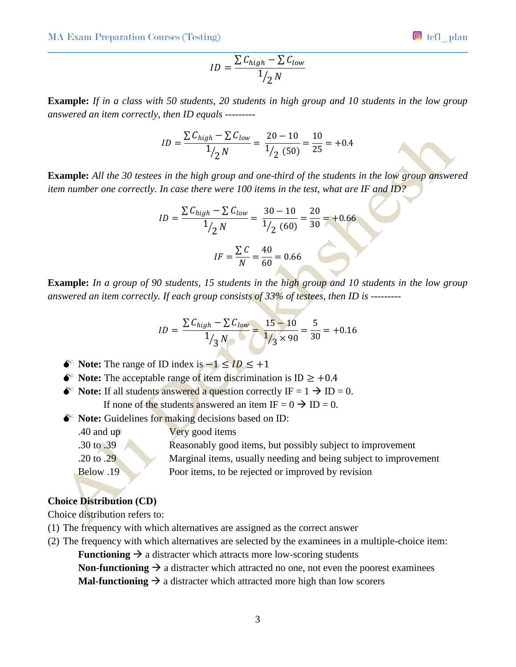## MA Exam Preparation Courses (Testing) tefl\_plan

$$
ID = \frac{\sum C_{high} - \sum C_{low}}{1/2 N}
$$

**Example:** *If in a class with 50 students, 20 students in high group and 10 students in the low group answered an item correctly, then ID equals ---------*

$$
ID = \frac{\sum C_{high} - \sum C_{low}}{1/2 N} = \frac{20 - 10}{1/2 (50)} = \frac{10}{25} = +0.4
$$

**Example:** *All the 30 testees in the high group and one-third of the students in the low group answered item number one correctly. In case there were 100 items in the test, what are IF and ID?*

$$
ID = \frac{\sum C_{high} - \sum C_{low}}{1/2 N} = \frac{30 - 10}{1/2 (60)} = \frac{20}{30} = +0.66
$$

$$
IF = \frac{\sum C}{N} = \frac{40}{60} = 0.66
$$

**Example:** *In a group of 90 students, 15 students in the high group and 10 students in the low group answered an item correctly. If each group consists of 33% of testees, then ID is ---------*

$$
ID = \frac{\sum C_{high} - \sum C_{low}}{1/3 N} = \frac{15 - 10}{1/3 \times 90} = \frac{5}{30} = +0.16
$$

- $\bullet^*$  Note: The range of ID index is  $-1 \leq ID \leq +1$
- $\bullet^*$  Note: The acceptable range of item discrimination is ID  $\geq +0.4$
- $\bullet^*$  **Note:** If all students answered a question correctly IF =  $1 \rightarrow ID = 0$ . If none of the students answered an item IF =  $0 \rightarrow$  ID = 0.
- $\bullet^*$  **Note:** Guidelines for making decisions based on ID:
	-

.40 and up Very good items

.30 to .39 Reasonably good items, but possibly subject to improvement .20 to .29 Marginal items, usually needing and being subject to improvement Below .19 Poor items, to be rejected or improved by revision

## **Choice Distribution (CD)**

Choice distribution refers to:

- (1) The frequency with which alternatives are assigned as the correct answer
- (2) The frequency with which alternatives are selected by the examinees in a multiple-choice item: **Functioning**  $\rightarrow$  a distracter which attracts more low-scoring students **Non-functioning**  $\rightarrow$  a distracter which attracted no one, not even the poorest examinees

**Mal-functioning**  $\rightarrow$  a distracter which attracted more high than low scorers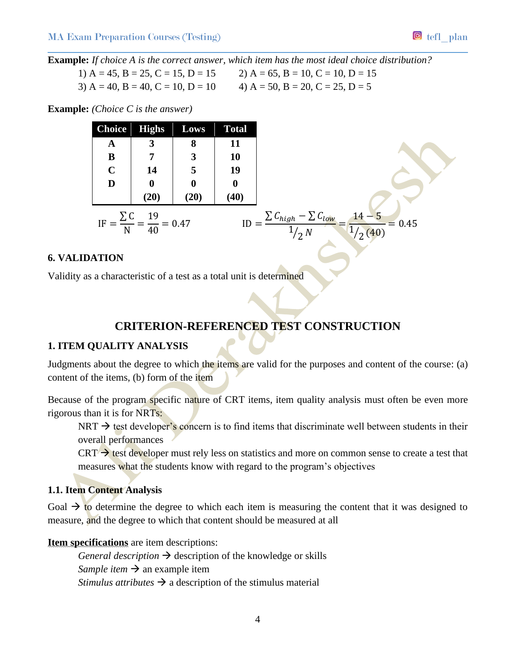

**Example:** *If choice A is the correct answer, which item has the most ideal choice distribution?*

1) A = 45, B = 25, C = 15, D = 15 2) A = 65, B = 10, C = 10, D = 15 3) A = 40, B = 40, C = 10, D = 10  $\neq$  4) A = 50, B = 20, C = 25, D = 5

**Example:** *(Choice C is the answer)*

| <b>Choice</b>                                            | <b>Highs</b> | Lows     | <b>Total</b> |                                                                 |
|----------------------------------------------------------|--------------|----------|--------------|-----------------------------------------------------------------|
| A                                                        | 3            | 8        | 11           |                                                                 |
| B                                                        | 7            |          | 10           |                                                                 |
| $\mathbf C$                                              | 14           | 5        | 19           |                                                                 |
| D                                                        | 0            | $\bf{0}$ | 0            |                                                                 |
|                                                          | (20)         | (20)     | (40)         |                                                                 |
| IF $=$ $\frac{\Sigma C}{N}$ $=$ $\frac{19}{40}$ $= 0.47$ |              |          | ID           | $\sum C_{high} - \sum C_{low}$<br>$14 - 5$<br>$= 0.45$<br>1/2 N |

#### **6. VALIDATION**

Validity as a characteristic of a test as a total unit is determined

# **CRITERION-REFERENCED TEST CONSTRUCTION**

### **1. ITEM QUALITY ANALYSIS**

Judgments about the degree to which the items are valid for the purposes and content of the course: (a) content of the items, (b) form of the item

Because of the program specific nature of CRT items, item quality analysis must often be even more rigorous than it is for NRTs:

 $NRT \rightarrow$  test developer's concern is to find items that discriminate well between students in their overall performances

 $CRT \rightarrow$  test developer must rely less on statistics and more on common sense to create a test that measures what the students know with regard to the program's objectives

#### **1.1. Item Content Analysis**

Goal  $\rightarrow$  to determine the degree to which each item is measuring the content that it was designed to measure, and the degree to which that content should be measured at all

#### **Item specifications** are item descriptions:

*General description*  $\rightarrow$  description of the knowledge or skills *Sample item*  $\rightarrow$  an example item *Stimulus attributes*  $\rightarrow$  a description of the stimulus material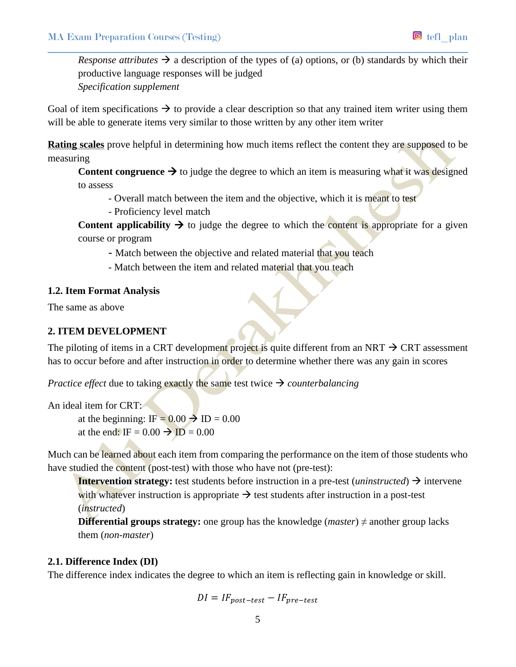*Response attributes*  $\rightarrow$  a description of the types of (a) options, or (b) standards by which their productive language responses will be judged *Specification supplement*

Goal of item specifications  $\rightarrow$  to provide a clear description so that any trained item writer using them will be able to generate items very similar to those written by any other item writer

**Rating scales** prove helpful in determining how much items reflect the content they are supposed to be measuring

**Content congruence**  $\rightarrow$  to judge the degree to which an item is measuring what it was designed to assess

- Overall match between the item and the objective, which it is meant to test
- Proficiency level match

**Content applicability**  $\rightarrow$  to judge the degree to which the content is appropriate for a given course or program

- Match between the objective and related material that you teach
- Match between the item and related material that you teach

### **1.2. Item Format Analysis**

The same as above

## **2. ITEM DEVELOPMENT**

The piloting of items in a CRT development project is quite different from an NRT  $\rightarrow$  CRT assessment has to occur before and after instruction in order to determine whether there was any gain in scores

*Practice effect* due to taking exactly the same test twice  $\rightarrow$  *counterbalancing* 

An ideal item for CRT:

at the beginning: IF =  $0.00 \rightarrow$  ID =  $0.00$ at the end: IF =  $0.00 \rightarrow$  ID = 0.00

Much can be learned about each item from comparing the performance on the item of those students who have studied the content (post-test) with those who have not (pre-test):

**Intervention strategy:** test students before instruction in a pre-test (*uninstructed*)  $\rightarrow$  intervene with whatever instruction is appropriate  $\rightarrow$  test students after instruction in a post-test (*instructed*)

**Differential groups strategy:** one group has the knowledge (*master*)  $\neq$  another group lacks them (*non-master*)

### **2.1. Difference Index (DI)**

The difference index indicates the degree to which an item is reflecting gain in knowledge or skill.

$$
DI = IF_{post-test} - IF_{pre-test}
$$